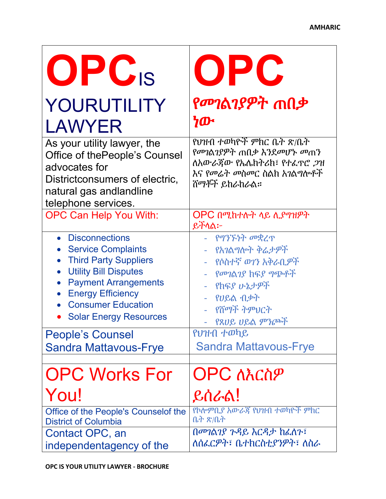| OPC <sub>IS</sub>                                                                                                                                                  | OPC                                                                                                                       |
|--------------------------------------------------------------------------------------------------------------------------------------------------------------------|---------------------------------------------------------------------------------------------------------------------------|
| YOURUTILITY                                                                                                                                                        | የመገልገያዎት ጠበቃ                                                                                                              |
| <b>LAWYER</b>                                                                                                                                                      | ነው                                                                                                                        |
| As your utility lawyer, the<br>Office of the People's Counsel<br>advocates for<br>Districtconsumers of electric,<br>natural gas andlandline<br>telephone services. | የህዝብ ተወካዮች ምክር ቤት ጽ/ቤት<br>የመገልገያዎት ጠበቃ እንደመሆኑ መጠን<br>ለአውራጀው የኤሌክትሪክ፣ የተፈዋሮ ጋዝ<br>እና የመሬት መስመር ስልክ አገልግሎቶች<br>ሸማቾች ይከራከራል። |
| <b>OPC Can Help You With:</b>                                                                                                                                      | OPC በሚከተሉት ላይ ሊያግዝዎት<br>ይቸላል፦                                                                                             |
| • Disconnections                                                                                                                                                   | - የግንኙነት መቋረጥ                                                                                                             |
| <b>Service Complaints</b>                                                                                                                                          | - የአገልግሎት ቅሬታዎች                                                                                                           |
| <b>Third Party Suppliers</b>                                                                                                                                       | - የሶስተኛ ወገን አቅራቢዎች                                                                                                        |
| <b>Utility Bill Disputes</b>                                                                                                                                       | - የመገልገያ ከፍያ ግጭቶች                                                                                                         |
| <b>Payment Arrangements</b>                                                                                                                                        | - የከፍያ ሁኔታዎች                                                                                                              |
| <b>Energy Efficiency</b>                                                                                                                                           | - የሀይል ብቃት                                                                                                                |
| <b>Consumer Education</b>                                                                                                                                          | - የሸማች ትምህርት                                                                                                              |
| <b>Solar Energy Resources</b>                                                                                                                                      | - የጸሀይ ሀይል ምንጮች                                                                                                           |
| <b>People's Counsel</b>                                                                                                                                            | የህዝብ ተወካይ                                                                                                                 |
| <b>Sandra Mattavous-Frye</b>                                                                                                                                       | <b>Sandra Mattavous-Frye</b>                                                                                              |
| <b>OPC Works For</b>                                                                                                                                               | <b>OPC ለእርስዎ</b>                                                                                                          |
| You!                                                                                                                                                               | ይሰራል!                                                                                                                     |
| Office of the People's Counselof the                                                                                                                               | የኮሎምቢያ አውራጃ የህዝብ ተወካዮች ምክር                                                                                                |
| <b>District of Columbia</b>                                                                                                                                        | <u>ቤት ጽ/ቤት</u>                                                                                                            |
| Contact OPC, an                                                                                                                                                    | በመገልገያ ጉዳይ እርዳታ ከፈለጉ፣                                                                                                     |
| independentagency of the                                                                                                                                           | ለሰፌርዎት፣ ቤተክርስቲያንዎት፣ ለስራ                                                                                                   |